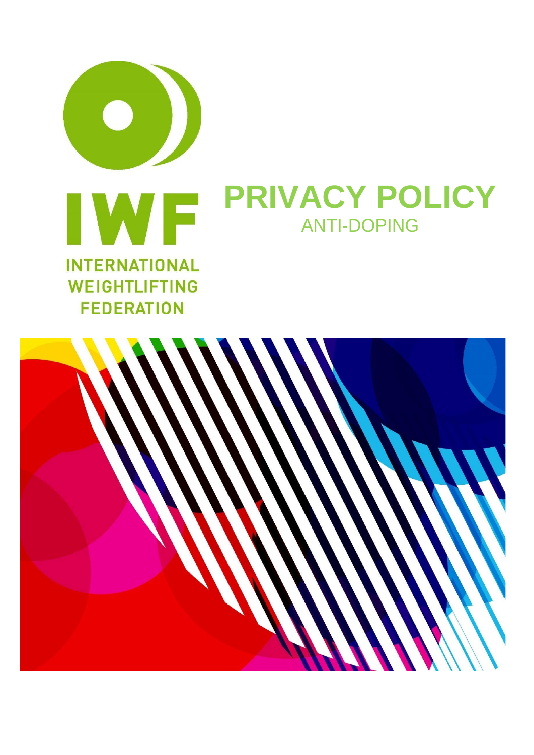

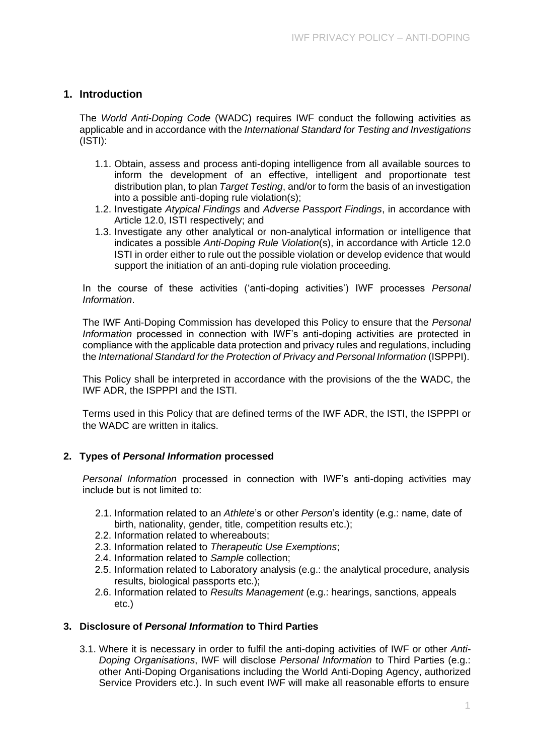# **1. Introduction**

The *World Anti-Doping Code* (WADC) requires IWF conduct the following activities as applicable and in accordance with the *International Standard for Testing and Investigations*  (ISTI):

- 1.1. Obtain, assess and process anti-doping intelligence from all available sources to inform the development of an effective, intelligent and proportionate test distribution plan, to plan *Target Testing*, and/or to form the basis of an investigation into a possible anti-doping rule violation(s);
- 1.2. Investigate *Atypical Findings* and *Adverse Passport Findings*, in accordance with Article 12.0, ISTI respectively; and
- 1.3. Investigate any other analytical or non-analytical information or intelligence that indicates a possible *Anti-Doping Rule Violation*(s), in accordance with Article 12.0 ISTI in order either to rule out the possible violation or develop evidence that would support the initiation of an anti-doping rule violation proceeding.

In the course of these activities ('anti-doping activities') IWF processes *Personal Information*.

The IWF Anti-Doping Commission has developed this Policy to ensure that the *Personal Information* processed in connection with IWF's anti-doping activities are protected in compliance with the applicable data protection and privacy rules and regulations, including the *International Standard for the Protection of Privacy and Personal Information* (ISPPPI).

This Policy shall be interpreted in accordance with the provisions of the the WADC, the IWF ADR, the ISPPPI and the ISTI.

Terms used in this Policy that are defined terms of the IWF ADR, the ISTI, the ISPPPI or the WADC are written in italics.

## **2. Types of** *Personal Information* **processed**

*Personal Information* processed in connection with IWF's anti-doping activities may include but is not limited to:

- 2.1. Information related to an *Athlete*'s or other *Person*'s identity (e.g.: name, date of birth, nationality, gender, title, competition results etc.);
- 2.2. Information related to whereabouts;
- 2.3. Information related to *Therapeutic Use Exemptions*;
- 2.4. Information related to *Sample* collection;
- 2.5. Information related to Laboratory analysis (e.g.: the analytical procedure, analysis results, biological passports etc.);
- 2.6. Information related to *Results Management* (e.g.: hearings, sanctions, appeals etc.)

## **3. Disclosure of** *Personal Information* **to Third Parties**

3.1. Where it is necessary in order to fulfil the anti-doping activities of IWF or other *Anti-Doping Organisations*, IWF will disclose *Personal Information* to Third Parties (e.g.: other Anti-Doping Organisations including the World Anti-Doping Agency, authorized Service Providers etc.). In such event IWF will make all reasonable efforts to ensure